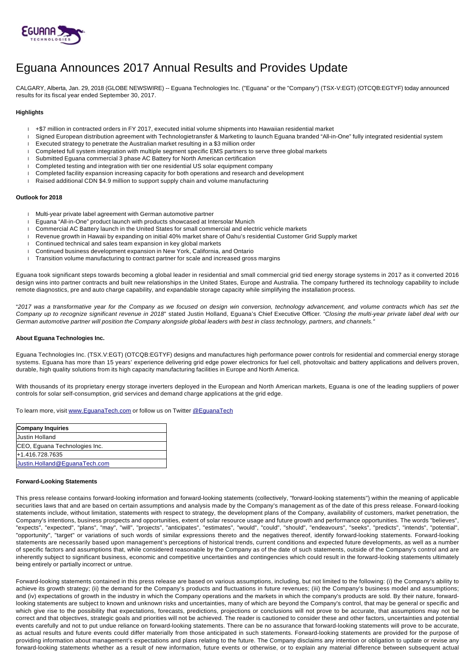

# Eguana Announces 2017 Annual Results and Provides Update

CALGARY, Alberta, Jan. 29, 2018 (GLOBE NEWSWIRE) -- Eguana Technologies Inc. ("Eguana" or the "Company") (TSX-V:EGT) (OTCQB:EGTYF) today announced results for its fiscal year ended September 30, 2017.

### **Highlights**

- +\$7 million in contracted orders in FY 2017, executed initial volume shipments into Hawaiian residential market
- Signed European distribution agreement with Technologietransfer & Marketing to launch Eguana branded "All-in-One" fully integrated residential system
- Executed strategy to penetrate the Australian market resulting in a \$3 million order
- Completed full system integration with multiple segment specific EMS partners to serve three global markets
- Submitted Eguana commercial 3 phase AC Battery for North American certification
- Completed testing and integration with tier one residential US solar equipment company
- Completed facility expansion increasing capacity for both operations and research and development
- Raised additional CDN \$4.9 million to support supply chain and volume manufacturing

#### **Outlook for 2018**

- Multi-year private label agreement with German automotive partner
- Eguana "All-in-One" product launch with products showcased at Intersolar Munich
- Commercial AC Battery launch in the United States for small commercial and electric vehicle markets
- Revenue growth in Hawaii by expanding on initial 40% market share of Oahu's residential Customer Grid Supply market
- Continued technical and sales team expansion in key global markets
- Continued business development expansion in New York, California, and Ontario
- $\Box$  Transition volume manufacturing to contract partner for scale and increased gross margins

Eguana took significant steps towards becoming a global leader in residential and small commercial grid tied energy storage systems in 2017 as it converted 2016 design wins into partner contracts and built new relationships in the United States, Europe and Australia. The company furthered its technology capability to include remote diagnostics, pre and auto charge capability, and expandable storage capacity while simplifying the installation process.

"2017 was a transformative year for the Company as we focused on design win conversion, technology advancement, and volume contracts which has set the Company up to recognize significant revenue in 2018" stated Justin Holland, Eguana's Chief Executive Officer. "Closing the multi-year private label deal with our German automotive partner will position the Company alongside global leaders with best in class technology, partners, and channels."

#### **About Eguana Technologies Inc.**

Eguana Technologies Inc. (TSX.V:EGT) (OTCQB:EGTYF) designs and manufactures high performance power controls for residential and commercial energy storage systems. Eguana has more than 15 years' experience delivering grid edge power electronics for fuel cell, photovoltaic and battery applications and delivers proven, durable, high quality solutions from its high capacity manufacturing facilities in Europe and North America.

With thousands of its proprietary energy storage inverters deployed in the European and North American markets, Eguana is one of the leading suppliers of power controls for solar self-consumption, grid services and demand charge applications at the grid edge.

To learn more, visit [www.EguanaTech.com](http://www.eguanatech.com/) or follow us on Twitter [@EguanaTech](https://twitter.com/EguanaTech)

| <b>Company Inquiries</b>      |
|-------------------------------|
| <b>Justin Holland</b>         |
| CEO, Eguana Technologies Inc. |
| +1.416.728.7635               |
| Justin.Holland@EquanaTech.com |

#### **Forward-Looking Statements**

This press release contains forward-looking information and forward-looking statements (collectively, "forward-looking statements") within the meaning of applicable securities laws that and are based on certain assumptions and analysis made by the Company's management as of the date of this press release. Forward-looking statements include, without limitation, statements with respect to strategy, the development plans of the Company, availability of customers, market penetration, the Company's intentions, business prospects and opportunities, extent of solar resource usage and future growth and performance opportunities. The words "believes", "expects", "expected", "plans", "may", "will", "projects", "anticipates", "estimates", "would", "could", "should", "endeavours", "seeks", "predicts", "intends", "potential", "opportunity", "target" or variations of such words of similar expressions thereto and the negatives thereof, identify forward-looking statements. Forward-looking statements are necessarily based upon management's perceptions of historical trends, current conditions and expected future developments, as well as a number of specific factors and assumptions that, while considered reasonable by the Company as of the date of such statements, outside of the Company's control and are inherently subject to significant business, economic and competitive uncertainties and contingencies which could result in the forward-looking statements ultimately being entirely or partially incorrect or untrue.

Forward-looking statements contained in this press release are based on various assumptions, including, but not limited to the following: (i) the Company's ability to achieve its growth strategy; (ii) the demand for the Company's products and fluctuations in future revenues; (iii) the Company's business model and assumptions; and (iv) expectations of growth in the industry in which the Company operations and the markets in which the company's products are sold. By their nature, forwardlooking statements are subject to known and unknown risks and uncertainties, many of which are beyond the Company's control, that may be general or specific and which give rise to the possibility that expectations, forecasts, predictions, projections or conclusions will not prove to be accurate, that assumptions may not be correct and that objectives, strategic goals and priorities will not be achieved. The reader is cautioned to consider these and other factors, uncertainties and potential events carefully and not to put undue reliance on forward-looking statements. There can be no assurance that forward-looking statements will prove to be accurate, as actual results and future events could differ materially from those anticipated in such statements. Forward-looking statements are provided for the purpose of providing information about management's expectations and plans relating to the future. The Company disclaims any intention or obligation to update or revise any forward-looking statements whether as a result of new information, future events or otherwise, or to explain any material difference between subsequent actual